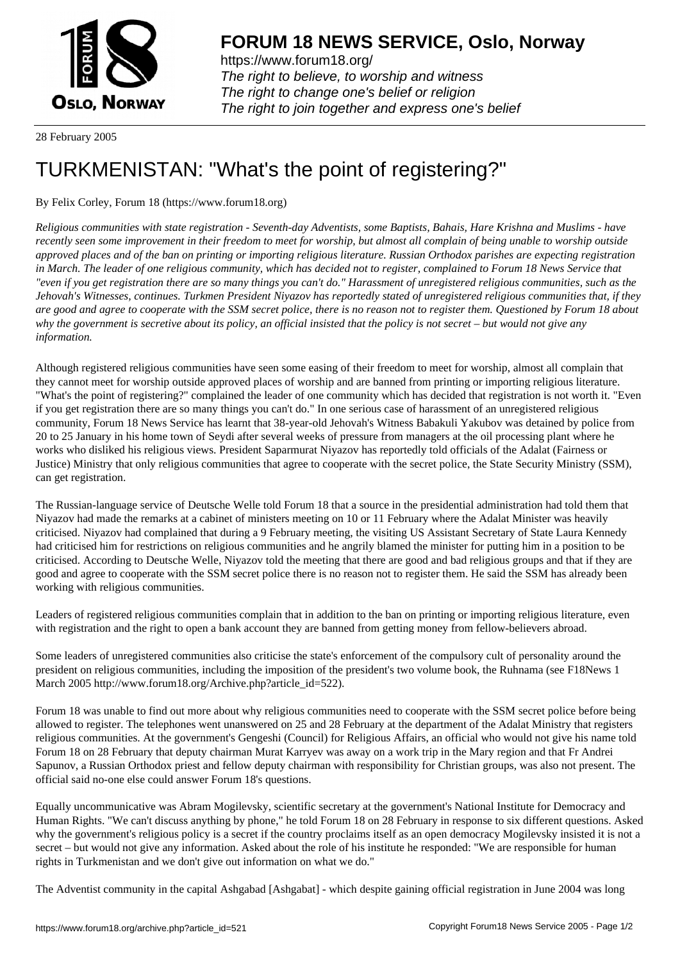

https://www.forum18.org/ The right to believe, to worship and witness The right to change one's belief or religion [The right to join together a](https://www.forum18.org/)nd express one's belief

28 February 2005

## [TURKMENISTA](https://www.forum18.org)N: "What's the point of registering?"

## By Felix Corley, Forum 18 (https://www.forum18.org)

*Religious communities with state registration - Seventh-day Adventists, some Baptists, Bahais, Hare Krishna and Muslims - have recently seen some improvement in their freedom to meet for worship, but almost all complain of being unable to worship outside approved places and of the ban on printing or importing religious literature. Russian Orthodox parishes are expecting registration in March. The leader of one religious community, which has decided not to register, complained to Forum 18 News Service that "even if you get registration there are so many things you can't do." Harassment of unregistered religious communities, such as the Jehovah's Witnesses, continues. Turkmen President Niyazov has reportedly stated of unregistered religious communities that, if they are good and agree to cooperate with the SSM secret police, there is no reason not to register them. Questioned by Forum 18 about why the government is secretive about its policy, an official insisted that the policy is not secret – but would not give any information.*

Although registered religious communities have seen some easing of their freedom to meet for worship, almost all complain that they cannot meet for worship outside approved places of worship and are banned from printing or importing religious literature. "What's the point of registering?" complained the leader of one community which has decided that registration is not worth it. "Even if you get registration there are so many things you can't do." In one serious case of harassment of an unregistered religious community, Forum 18 News Service has learnt that 38-year-old Jehovah's Witness Babakuli Yakubov was detained by police from 20 to 25 January in his home town of Seydi after several weeks of pressure from managers at the oil processing plant where he works who disliked his religious views. President Saparmurat Niyazov has reportedly told officials of the Adalat (Fairness or Justice) Ministry that only religious communities that agree to cooperate with the secret police, the State Security Ministry (SSM), can get registration.

The Russian-language service of Deutsche Welle told Forum 18 that a source in the presidential administration had told them that Niyazov had made the remarks at a cabinet of ministers meeting on 10 or 11 February where the Adalat Minister was heavily criticised. Niyazov had complained that during a 9 February meeting, the visiting US Assistant Secretary of State Laura Kennedy had criticised him for restrictions on religious communities and he angrily blamed the minister for putting him in a position to be criticised. According to Deutsche Welle, Niyazov told the meeting that there are good and bad religious groups and that if they are good and agree to cooperate with the SSM secret police there is no reason not to register them. He said the SSM has already been working with religious communities.

Leaders of registered religious communities complain that in addition to the ban on printing or importing religious literature, even with registration and the right to open a bank account they are banned from getting money from fellow-believers abroad.

Some leaders of unregistered communities also criticise the state's enforcement of the compulsory cult of personality around the president on religious communities, including the imposition of the president's two volume book, the Ruhnama (see F18News 1 March 2005 http://www.forum18.org/Archive.php?article\_id=522).

Forum 18 was unable to find out more about why religious communities need to cooperate with the SSM secret police before being allowed to register. The telephones went unanswered on 25 and 28 February at the department of the Adalat Ministry that registers religious communities. At the government's Gengeshi (Council) for Religious Affairs, an official who would not give his name told Forum 18 on 28 February that deputy chairman Murat Karryev was away on a work trip in the Mary region and that Fr Andrei Sapunov, a Russian Orthodox priest and fellow deputy chairman with responsibility for Christian groups, was also not present. The official said no-one else could answer Forum 18's questions.

Equally uncommunicative was Abram Mogilevsky, scientific secretary at the government's National Institute for Democracy and Human Rights. "We can't discuss anything by phone," he told Forum 18 on 28 February in response to six different questions. Asked why the government's religious policy is a secret if the country proclaims itself as an open democracy Mogilevsky insisted it is not a secret – but would not give any information. Asked about the role of his institute he responded: "We are responsible for human rights in Turkmenistan and we don't give out information on what we do."

The Adventist community in the capital Ashgabad [Ashgabat] - which despite gaining official registration in June 2004 was long